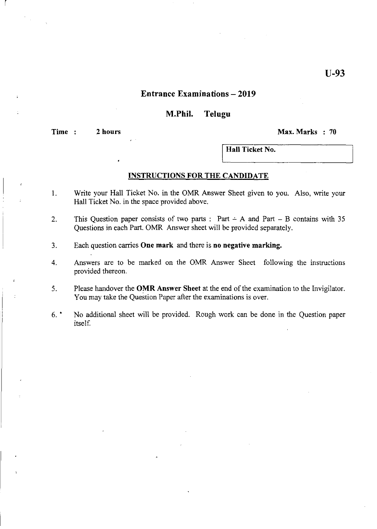### **Entrance Examinations - 2019**

### **M.Phil. Telugu**

**Time 2 hours** ~ax.~arks **70** 

r

**Hall Ticket No.** 

#### **INSTRUCTIONS FOR THE CANDIDATE**

- 1. Write your Hall Ticket No. in the OMR Answer Sheet given to you. Also, write your Hall Ticket No. in the space provided above.
- 2. This Question paper consists of two parts: Part  $\div$  A and Part  $-$  B contains with 35 Questions in each Part. OMR Answer sheet will be provided separately.
- 3. Each question carries **One mark** and there is **no negative marking.**
- 4. Answers are to be marked on the OMR Answer Sheet following the instructions provided thereon.
- 5. Please handover the **OMR** Answer Sheet at the end of the examination to the Invigilator. You may take the Question Paper after the examinations is over.
- 6. No additional sheet will be provided. Rough work can be done in the Question paper itself.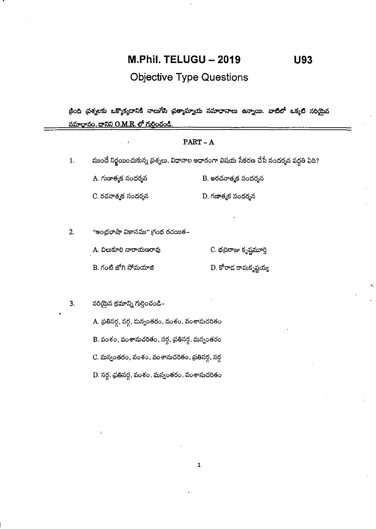# M.Phil. TELUGU - 2019

**U93** 

**Objective Type Questions** 

కింది ప్రశ్నలకు ఒక్కొక్కదానికి నాలుగేసి ప్రత్యామ్నాయ సమాధానాలు ఉన్నాయి. వా<mark>టిలో</mark> ఒక్కటి సరియైన <u>సమాధానం, దానిని O.M.R. లో గుర్తించండి.</u>

|    |                                                 | $PART - A$                                                                          |
|----|-------------------------------------------------|-------------------------------------------------------------------------------------|
| 1. |                                                 | ముందే నిర్ణయించుకున్న ప్రశ్నలు. విధానాల ఆధారంగా విషయ సేకరణ చేసే సందర్శన పద్ధతి ఏది? |
|    | A. గుణాత్మక సందర్శన                             | B. అరచనాత్మక సందర్శన                                                                |
|    | C. రచనాత్మక సందర్శన                             | D. గణాత్మక సందర్శన                                                                  |
|    |                                                 |                                                                                     |
| 2. | "ఆంధ్రభాషా వికాసము" గ్రంథ రచయిత–                |                                                                                     |
|    | A. చిలుకూరి నారాయణరావు                          | C. భద్రిరాజు కృష్ణమూర్తి                                                            |
|    | B. గంటి జోగి సోమయాజి                            | D. కోరాద రామకృష్ణయ్య                                                                |
|    |                                                 |                                                                                     |
| 3. | సరియైన క్రమాన్ని గుర్తించండి–                   |                                                                                     |
|    | A. ప్రతిసర్గ, సర్గ, మన్వంతరం, వంశం, వంశానుచరితం |                                                                                     |
|    | B. వంశం, వంశానుచరితం, సర్ధ, ప్రతిసర్ధ, మన్వంతరం |                                                                                     |
|    | C. మన్వంతరం, వంశం, వంశానుచరితం, ప్రతిసర్గ, సర్గ |                                                                                     |
|    | D. సర్గ, ప్రతిసర్గ, వంశం, మన్వంతరం, వంశానుచరితం |                                                                                     |

 $\mathbf{1}$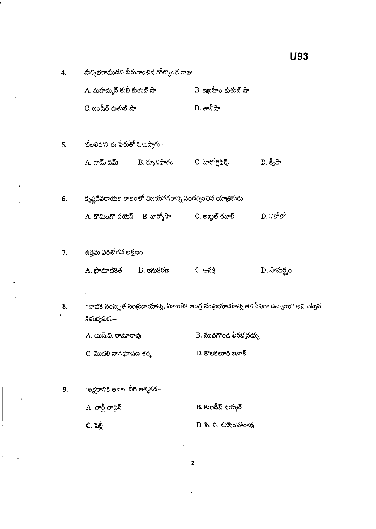|    |                                    |                                                        |                        | u u u                                                                                      |
|----|------------------------------------|--------------------------------------------------------|------------------------|--------------------------------------------------------------------------------------------|
| 4. |                                    | మల్మిభరాముదని పేరుగాంచిన గోల్కొంద రాజు                 |                        |                                                                                            |
|    | A. మహమ్మద్ కులీ కుతుబ్ షా          |                                                        | B. ఇణ్లహీం కుతుబ్ షా   |                                                                                            |
|    | C. జంషీద్ కుతుబ్ షా                |                                                        | D. తానీషా              |                                                                                            |
|    |                                    |                                                        |                        |                                                                                            |
| 5. | 'కీలలిపి'ని ఈ పేరుతో పిలుసారు~     |                                                        |                        |                                                                                            |
|    | A. వామ్ పమ్ $\qquad$ B. క్యూనిఫారం |                                                        | C. హైరోగ్లిఫిక్స్      | $D. \, \AA$ ్నపా                                                                           |
|    |                                    |                                                        |                        |                                                                                            |
| 6. |                                    | కృష్ణదేవరాయల కాలంలో విజయనగరాన్ని సందర్శించిన యాతికుదు– |                        |                                                                                            |
|    | A. దొమింగొ పయెస్     B. బార్బోసా   |                                                        | C. అబ్దుల్ రజాక్       | D. నికోలో                                                                                  |
|    |                                    |                                                        |                        |                                                                                            |
| 7. | ఉత్తమ పరిశోధన లక్షణం–              |                                                        |                        |                                                                                            |
|    | A. ప్రామాణికత       B. అనుకరణ      |                                                        | C. ఆసక్తి              | D. సామర్థ్యం                                                                               |
|    |                                    |                                                        |                        |                                                                                            |
| 8. |                                    |                                                        |                        | "నాటిక సంస్కృత సంప్రదాయాన్ని, ఏకాంకిక అంగ్ల సంప్రయాయాన్ని తెలిపేవిగా ఉన్నాయి'' అని చెప్పిన |
|    | విమర్శకుదు–                        |                                                        |                        |                                                                                            |
|    | A. యస్.వి. రామారావు                |                                                        | B. ముదిగొంద వీరభద్రయ్య |                                                                                            |
|    | C. మొదలి నాగభూషణ శర్మ              |                                                        | D. కొలకలూరి ఇనాక్      |                                                                                            |
|    |                                    |                                                        |                        |                                                                                            |
| 9. | 'అక్షరానికి ఆవల' వీరి ఆత్మకథ–      |                                                        |                        |                                                                                            |
|    | A. చార్జీ చాప్లిన్                 |                                                        | B. కులదీప్ నయ్యర్      |                                                                                            |
|    | C. షెల్లీ                          |                                                        | D. పి. వి. నరసింహారావు |                                                                                            |

 $\overline{\phantom{a}}$ 

 $\mathcal{A}$ 

l,

 $\overline{a}$ 

À

**U93** 

 $\overline{2}$ 

 $\ddot{\phantom{0}}$ 

 $\bar{\ell}$ 

 $\langle \sigma_{\rm{eff}} \rangle$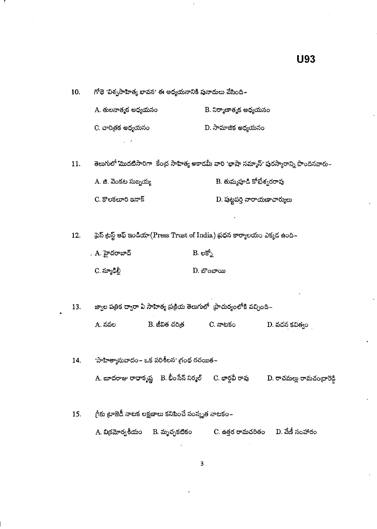గోథె 'విశ్వసాహిత్య భావన' ఈ అధ్యయనానికి పునాదులు వేసింది~ 10. A. తులనాత్మక అధ్యయనం B. నిర్మాణాత్మక అధ్యయనం C. చారితక అధ్యయనం D. సామాజిక అధ్యయనం తెలుగులో మొదటిసారిగా కేంద్ర సాహిత్య అకాదమీ వారి 'భాషా సమ్మాన్' పురస్కారాన్ని పొందినవారు– 11. B. తుమ్మహ<sup>ది</sup> కోటేశ్వరరావు A. జి. వెంకట సుబ్బయ్య  $D.$  పుట్టపర్తి నారాయణాచార్యులు  $C.$  కొలకలూరి ఇనాక్ టైస్ ట్రస్ట్ ఆఫ్ ఇండియా(Press Trust of India) ప్రధన కార్యాలయం ఎక్కడ ఉంది– 12. . A. హైదరాబాద్  $B. e5^6$ C. న్యూడి<u>ల</u>్  $D.$  బొంబాయి జ్వాల పత్రిక ద్వారా ఏ సాహిత్య ప్రక్రియ తెలుగులో  $\,$ పొచుర్యంలోకి వచ్చింది– 13. B. జీవిత చరిత్ర A. నవల C. నాటకం D. వచన కవిత్వం 'సాహిత్యానువాదం – ఒక పరిశీలన' గ్రంథ రచయిత – 14. A. బూదరాజు రాధాకృష్ణ B. భీంసేన్ నిర్మల్ C. భార్గవీ రావు D. రాచమల్లు రామచంద్రారెడ్డి గ్రీకు ట్రాజెడీ నాటక లక్షణాలు కనిపించే సంస్కృత నాటకం– 15. C. ఉత్తర రామచరితం D. వేణీ సంహారం A. విక్రమోర్వశీయం B. మృచ్ఛకటికం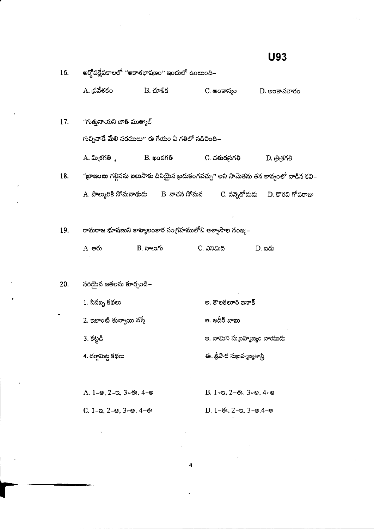| 16. |                                                     | అర్హోపక్షేపకాలలో "ఆకాశభాషణం" ఇందులో ఉంటుంది–                                           |                                       |                                                                                    |
|-----|-----------------------------------------------------|----------------------------------------------------------------------------------------|---------------------------------------|------------------------------------------------------------------------------------|
|     | A. ప్రవేశకం                                         | B. చూళిక                                                                               | C. అంకాస్యం                           | D. అంకావతారం                                                                       |
| 17. | "గుత్తునాయని జాతి ముత్యాల్                          |                                                                                        |                                       |                                                                                    |
|     |                                                     | గుచ్చినాడే మేలి సరములు" ఈ గేయం ఏ గతిలో నడిచింది–                                       |                                       |                                                                                    |
|     | . మినగతి<br>-                                       | B. ఖండగతి                                                                              | C. చతుర <sub>స</sub> గతి              | D. త్రిశగతి                                                                        |
| 18. |                                                     |                                                                                        |                                       | "జాణంబు గల్గినను బలుసాకు దినియైన బ్రదుకంగవచ్చు" అని సామెతను తన కావ్వంలో వాడిన కవి– |
|     |                                                     | A. పాల్కురికి సోమనాథుడు       B. నాచన సోమన         C. నన్నెచోదుడు     D. కొరవి గోపరాజు |                                       |                                                                                    |
|     |                                                     |                                                                                        |                                       |                                                                                    |
| 19. |                                                     | రామరాజ భూషణుని కావ్యాలంకార సంగ్రహములోని ఆశ్వాసాల సంఖ్య–                                |                                       |                                                                                    |
|     | A. ఆరు                                              | B. నాలుగు                                                                              | C. ಎನಿಮಿದಿ                            | <u>D. තරා</u>                                                                      |
|     |                                                     |                                                                                        |                                       |                                                                                    |
| 20. | సరియైన జతలను కూర్చండి–                              |                                                                                        |                                       |                                                                                    |
|     | 1. సినబ్బ కథలు                                      |                                                                                        | అ. కొలకలూరి ఇనాక్                     |                                                                                    |
|     | 2. ఇలాంటి తువ్వాయి వస్తే                            |                                                                                        | ఆ. ఖదీర్ బాబు                         |                                                                                    |
|     | 3. కట్టడి                                           |                                                                                        | ఇ. నామిని సుబ్రహ్మణ్యం నాయుడు         |                                                                                    |
|     | 4. దర్గామిట్ట కథలు                                  |                                                                                        | ఈ. శ్రీపాద సుబ్రహ్మణ్యశాస్త్రి        |                                                                                    |
|     |                                                     |                                                                                        |                                       |                                                                                    |
|     | $A. 1$ –ఆ, 2–ఇ, 3–ఈ, 4–అ                            |                                                                                        | $B. 1 - a, 2 - 6$ , $3 - e$ , $4 - e$ |                                                                                    |
|     | $C. 1 - \infty, 2 - \infty, 3 - \infty, 4 - \infty$ |                                                                                        | $D. 1-63, 2-8, 3-9, 4-9$              |                                                                                    |
|     |                                                     |                                                                                        |                                       |                                                                                    |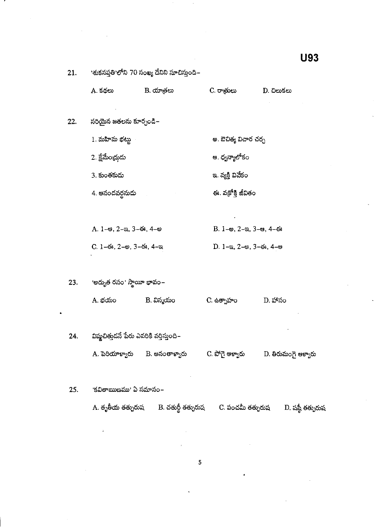| 21. | 'శుకసప్తతి'లోని 70 సంఖ్య దేనిని సూచిస్తుంది− |                                             |                                                            |                     |
|-----|----------------------------------------------|---------------------------------------------|------------------------------------------------------------|---------------------|
|     | A. కథలు                                      | B. యాత్రలు                                  | C. రాత్రులు                                                | D. చిలుకలు          |
| 22. | సరియైన జతలను కూర్చండి–                       |                                             |                                                            |                     |
|     | 1. మహిమ భట్టు                                |                                             | అ. ఔచిత్య విచార చర్చ                                       |                     |
|     | 2. క్షేమేంద్రుడు                             |                                             | ఆ. ద్వన్యాలోకం                                             |                     |
|     | 3. కుంతకుడు                                  |                                             | ఇ. వ్యక్తి వివేకం                                          |                     |
|     | 4. ఆనందవర్ధనుడు                              |                                             | ఈ. వక్రోక్తి జీవితం                                        |                     |
|     |                                              |                                             |                                                            |                     |
|     | $A. 1-9. 2-8. 3-6. 4-9$                      |                                             | В. 1- $\omega$ , 2- $\alpha$ , 3- $\omega$ , 4- $\omega$ з |                     |
|     | С. 1-6з, 2- $\otimes$ , 3-6з, 4-а            |                                             | $D. 1 - a, 2 - e, 3 - 6i, 4 - e$                           |                     |
|     |                                              |                                             |                                                            |                     |
| 23. | 'అద్భుత రసం' స్థాయీ భావం <i>–</i>            |                                             |                                                            |                     |
|     | A. భయం                                       | B. విస్మయం                                  | C ఉత్సాహం                                                  | D. హాసం             |
|     |                                              |                                             |                                                            |                     |
| 24. | విష్ఠచిత్తుడనే పేరు ఎవరికి వర్తిస్తుంది–     |                                             |                                                            |                     |
|     |                                              | A. పెరియాళ్వారు       B. అనంతాళ్వారు        | C. పోగై ఆక్వారు                                            | D. తిరుమంగై ఆళ్వారు |
|     |                                              |                                             |                                                            |                     |
| 25. | <u> 'కవితాఋణము' ఏ సమాసం–</u>                 |                                             |                                                            |                     |
|     |                                              | A. తృతీయ తత్పురుష       B. చతుర్థీ తత్పురుష | C. పంచమీ తత్పురుష                                          | D. షష్ఠీ తత్పురుష   |
|     | A                                            |                                             |                                                            |                     |

 $\overline{\mathbf{5}}$ 

**U93**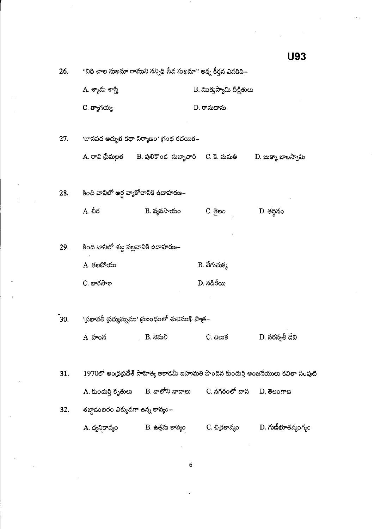"నిధి చాల సుఖమా రాముని సన్నిధి సేవ సుఖమా" అన్న కీర్తన ఎవరిది– 26. A. శ్యామ శాస్త్ర<mark>ి</mark> B. ముత్తుస్వామి దీక్షితులు  $C.$  త్యాగయ్య D. రామదాసు <sup>ు</sup>జానపద అద్భుత కథా నిర్మాణం<sup>,</sup> గ్రంథ రచయిత– 27. A. రావి ప్రేమలత B. పులికొండ సుబ్బాచారి - C. కె. సుమతి  $D.$  బుక్కా బాలస్వామి కింది వానిలో అర్థ వ్యాకోచానికి ఉదాహరణ– 28. **A.** చీర  $B.$  వ్యవసాయం C. <u>ම</u>හං D. తద్దినం కింది వానిలో శబ్ద పల్లవానికి ఉదాహరణ– 29.  $A.$  తలపోయు B. వేగుచుక్క C. బారసాల  $D.$  నడిరేయి 'ప్రభావతీ ప్రద్యుమ్నము' ప్రబంధంలో శుచిముఖి పాత్ర–  $30.$ D. సరస్వతీ దేవి C. ඩහා**ජ** A. హంస B. నెమలి  $1970$ లో ఆంధ్రప్రదేశ్ సాహిత్య అకాదమీ ఐహుమతి పొందిన కుందుర్తి ఆంజనేయులు కవితా సంపుటి 31. B. నాలోని నాదాలు A. కుందుర్తి కృతులు C. నగరంలో వాన  $D.$  తెలంగాణ శబ్దాదంబరం ఎక్కువగా ఉన్న కావ్యం– 32.  $\overline{\mathbf{D}}$ . గుణీభూతవ్యంగ్యం B. <del>ది</del>త్తమ కావ్యం C. చిత్రకావ్యం A. ధ్వనికావ్యం

**U93** 

6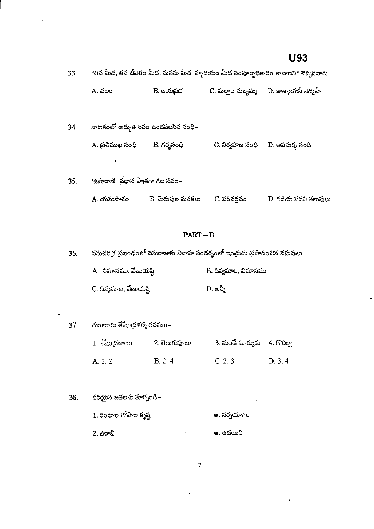| 33. | "తన మీద, తన జీవితం మీద, మనసు మీద, హృదయం మీద సంపూర్ణాధికారం కావాలని" చెప్పినవారు– |                  |                     |                      |
|-----|----------------------------------------------------------------------------------|------------------|---------------------|----------------------|
|     | A. చలం                                                                           | B. జయప్రభ        | C. మల్తాది సుబ్బమ్మ | D. కాత్యాయనీ విద్మహే |
| 34. | నాటకంలో అద్భుత రసం ఉందవలసిన సంధి–                                                |                  |                     |                      |
|     | A. (పతిముఖ సంధి                                                                  | B. గర్భసంధి      | C. నిర్వహణ సంధి     | D. అవమర్శ సంధి       |
|     | ٠                                                                                |                  |                     |                      |
| 35. | 'ఉషారాణి' ప్రధాన పాత్రగా గల నవల–                                                 |                  |                     |                      |
|     | A. యమపాశం                                                                        | B. మెరుపుల మరకలు | C. పరివరనం          | D. గడియ పడని తలుపులు |
|     |                                                                                  |                  |                     |                      |

## **PART-B**

. వసుచరిత్ర ప్రబంధంలో వసురాజుకు వివాహ సందర్భంలో ఇంద్రుడు ప్రసాదించిన వస్తువులు–  $36.$ 

| A. విమానము, వేణుయష్టి  | B. దివ్యమాల, విమానము |
|------------------------|----------------------|
| C. దివ్యమాల, వేణుయష్టి | D. න්ර               |

గుంటూరు శేషేంద్రశర్మ రచనలు $\mathord{\text{--}}$ 37.

| 1. శేషేంద్రజాలం | 2. తెలుగుహ్హలు | 3. మండే సూర్యుడు 4. గొరిల్లా |        |
|-----------------|----------------|------------------------------|--------|
| A. 1, 2         | B. 2, 4        | C. 2, 3                      | D.3, 4 |

7

- సరియైన జతలను కూర్చండి– 38.
	- $1.$  రెంటాల గోపాల కృష్ణ అ. సర్పయాగం
	- ఆ. ఉదయిని  $2.$  పఠాభి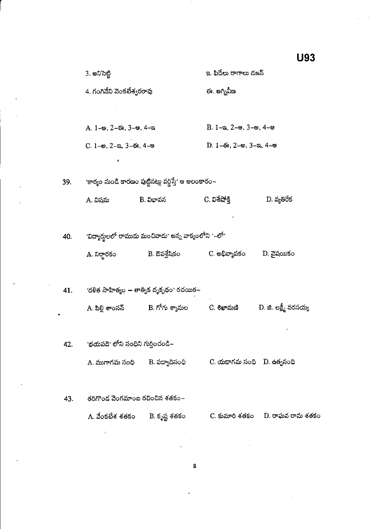|     | 3. అనిసెట్టి                     |                                                                | ఇ. ఫిదేలు రాగాలు దజన్                               |                       |
|-----|----------------------------------|----------------------------------------------------------------|-----------------------------------------------------|-----------------------|
|     | 4. గంగినేని వెంకటేశ్వరరావు       |                                                                | ఈ. అగ్నివీణ                                         |                       |
|     |                                  |                                                                |                                                     |                       |
|     | A. 1-అ, 2-ఈ, 3-ఆ, 4-ఇ            |                                                                | $B. 1 - a, 2 - e, 3 - e, 4 - e$                     |                       |
|     | С. 1-е, 2-а, 3-ё, 4-е            |                                                                | $D. 1-6$ s, 2- $\omega$ , 3- $\omega$ , 4- $\omega$ |                       |
|     |                                  |                                                                |                                                     |                       |
| 39. |                                  | ాకార్యం నుండి కారణం పుట్టినట్లు వర్ణిస్తే' ఆ అలంకారం~          |                                                     |                       |
|     | A. విషమ                          | B. విభావన                                                      | C. విశేషోక్తి                                       | $D.$ వ్యతిరేక         |
|     |                                  |                                                                |                                                     |                       |
| 40. |                                  | ివిద్యార్థులలో రాముదు మంచివాదు' అన్న వాక్యంలోని '–లో'          |                                                     |                       |
|     | A. నిర్ధారకం                     | B. ఔపశ్లేషికం                                                  | C. అభివ్యాపకం                                       | D. వైషయికం            |
|     |                                  |                                                                |                                                     |                       |
| 41. |                                  | 'దళిత సాహిత్యం — తాత్విక దృక్భథం' రచయిత–                       |                                                     |                       |
|     | A. పిల్లి శాంసస్                 | B. గోగు శ్యామల                                                 | C. శిఖామణి                                          | D. జి. లక్ష్మీ నరసయ్య |
|     |                                  |                                                                |                                                     |                       |
| 42. | `భయపడె' లోని సంధిని గుర్తించండి– |                                                                |                                                     |                       |
|     |                                  | A. ముగాగమ సంధి      B. పద్యాదిసంధి                             | C. యదాగమ సంధి D. ఉత్వసంధి                           |                       |
|     |                                  |                                                                |                                                     |                       |
| 43. | తరిగొండ వెంగమాంబ రచించిన శతకం–   |                                                                |                                                     |                       |
|     |                                  | A. వేంకటేశ శతకం      B. కృష్ణ శతకం              C. కుమారి శతకం |                                                     | D. రాఘవ రామ శతకం      |
|     | ÷.                               |                                                                |                                                     |                       |
|     |                                  |                                                                |                                                     |                       |

 $\bar{\beta}$ 

U93

 $\overline{\mathbf{g}}$ 

 $\ddot{\phantom{1}}$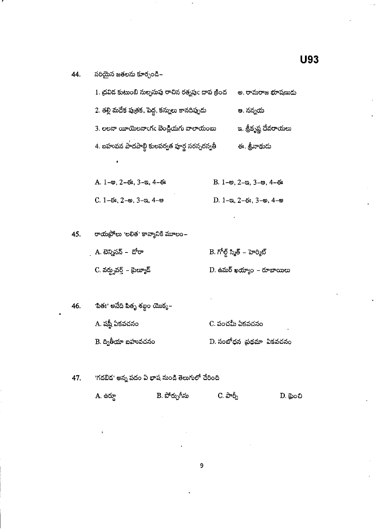| 1. ద్రవిద కుటుంబి నుల్పసుపు రాచిన రత్నపుఁ దాప క్రింద | అ. రామరాజ భూషణుడు     |
|------------------------------------------------------|-----------------------|
| 2. తల్లి మదేక పుతక, పెద్ద, కన్నులు కానదిప్పుడు       | ఆ. నన్నయ              |
| 3. లలనా యీయెలనాంగం బెండ్రియగు వాలాయంబు               | ఇ. శ్రీకృష్ణ దేవరాయలు |
| 4. బహువన పాదపాబ్ది కులపర్వత పూర్ణ సరస్సరస్వతీ        | ఈ. శ్రీనాథుదు         |
|                                                      |                       |

| $A. 1 - \omega$ , 2–ఈ, 3–ఇ, 4–ఈ | $B. 1-$ అ, 2-ఇ, 3-అ, 4-ఈ                                     |
|---------------------------------|--------------------------------------------------------------|
| $C. 1-6s, 2-8s, 3-3s, 4-8s$     | D. $1 - \infty$ , $2 - \infty$ , $3 - \infty$ , $4 - \infty$ |

రాయప్రోలు 'లలిత' కావ్యానికి మూలం– 45.

| A. టెన్నిసన్ –  డోరా      | B. గోల్డ్ స్మిత్ – హెర్మిట్ |
|---------------------------|-----------------------------|
| C. వర్డ్ఫవర్త్ – థైల్యూడ్ | D. ఉమర్ ఖయ్యాం – రూబాయిలు   |

'పితః' అనేది పితృ శబ్ద౦ యొక్క $\mathord{\text{--}}$ 46. A. షష్ఠీ ఏకవచనం C. పంచమీ ఏకవచనం  $B$ . ద్వితీయా బహువచనం  $D.$  సంబోధన ప్రథమా ఏకవచనం

'గడబిడ' అన్న పదం ఏ భాష నుండి తెలుగులో చేరింది 47.

| A. ఉర్దూ | B. పోర్చుగీసు | $C.$ බංරි $_1$ | $D.$ බුංඩ |
|----------|---------------|----------------|-----------|
|          |               |                |           |
|          |               |                |           |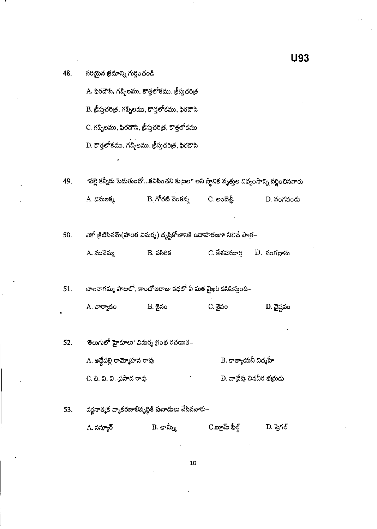A. ఫిరదౌసి, గబ్బిలము, కొత్తలోకము, క్రీస్తుచరిత్ర B. క్రీస్తుచరిత్ర, గబ్బిలము, కొత్తలోకము, ఫిరదౌసి C. గబ్బిలము, ఫిరదౌసి, క్రీస్తుచరిత్ర, కొత్తలోకము  $D$ . కొత్తలోకము, గబ్బిలము, క్రీస్తుచరిత్ర, ఫిరదౌసి

"పల్లె కన్నీరు పెదుతుందో...కనిపించని కుట్రల" అని స్థానిక వృత్తుల విధ్వంసాన్ని వర్డించినవారు 49. B. గోరటి వెంకన్న C. అందెశ్రీ A. విమలక్క D. వంగపందు

ఎకో క్రిటిసినమ్(హరిత విమర్శ) దృష్టికోణానికి ఉదాహరణగా నిలిచే పాత్ర– 50.

| A మునెమ్మ | B. పసిరిక | C. కేశవమూర్తి | D. సంగదాసు |
|-----------|-----------|---------------|------------|
|-----------|-----------|---------------|------------|

బాలనాగమ్మ పాటలో, కాంభోజరాజు కథలో ఏ మత వైఖరి కనిపిస్తుంది~ 51.

> $D.$  వైష్ణవం A. చార్యాకం **B.** జైనం C. <sub>වි</sub>රා

<sup>,</sup>తెలుగులో హైకూలు<sup>,</sup> విమర్శ గ్రంథ రచయిత– 52.

> $\mathrm{\mathbf{B}}$ . కాత్యాయనీ విద్మహే A. అద్దేపల్లి రామ్మోహన రావు  $D$ . వాడ్రేవు చినవీర భద్రుడు C. బి. వి. వి. ప్రసాద రావు

వర్ణనాత్మక వ్యాకరణాభివృద్ధికి పునాదులు వేసినవారు– 53.

> $B.$  ఛామ్స్కీ C.బ్లామ్ ఫీల్డ్ A. సస్యూర్  $D.$  ష్ణెగల్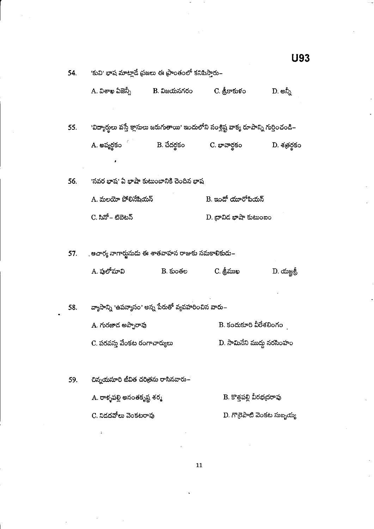|     |                                                      |                                         |                                                                                        | U93                        |
|-----|------------------------------------------------------|-----------------------------------------|----------------------------------------------------------------------------------------|----------------------------|
| 54. | 'కువి' భాష మాట్లాడే ప్రజలు ఈ ప్రాంతంలో కనిపిస్తారు–  |                                         |                                                                                        |                            |
|     | A. విశాఖ ఏజెన్నీ            B. విజయనగరం              |                                         | C. శ్రీకాకుళం                                                                          | D. అన్నీ                   |
| 55. |                                                      |                                         | 'విద్యార్థులు వస్తే క్లాసులు జరుగుతాయి' ఇందులోని సంశ్లిష్ట వాక్య రూపాన్ని గుర్తించండి– |                            |
|     | A. అప్యర్థకం                                         | B. చేదర్థకం                             | C. భావార్థకం                                                                           | D. శత్రర్థకం               |
| 56. |                                                      | 'సవర భాష' ఏ భాషా కుటుంబానికి చెందిన భాష |                                                                                        |                            |
|     | A. మలయో పోలినేషియన్                                  |                                         | B. ఇందో యూరోపియస్                                                                      |                            |
|     | C. సినో – టిబెటన్                                    |                                         | $D$ . దావిద భాషా కుటుంబం                                                               |                            |
|     | 57. ఆచార్య నాగార్జునుడు ఈ శాతవాహన రాజుకు సమకాలికుదు– |                                         |                                                                                        |                            |
|     | A. పులోమావి                                          | B. కుంతల                                | C. శ్రీముఖ                                                                             | $D.$ యజ్ఞశ్రీ              |
| 58. | వ్యాసాన్ని 'ఉపన్యాసం' అన్న పేరుతో వ్యవహరించిన వారు–  |                                         |                                                                                        |                            |
|     | A. గురజాద అప్పారావు                                  |                                         | B. కందుకూరి వీరేశలింగం                                                                 |                            |
|     | C. పరవస్తు వేంకట రంగాచార్యులు                        |                                         | D. సామినేని ముద్దు నరసింహం                                                             |                            |
| 59. | చిన్నయసూరి జీవిత చరిత్రను రాసినవారు–                 |                                         |                                                                                        |                            |
|     | A. రాళ్ళపల్లి అనంతకృష్ణ శర్మ                         |                                         | B. కొత్తపల్లి వీరభద్రరావు                                                              |                            |
|     | C. నిదదవోలు వెంకటరావు                                |                                         |                                                                                        | D. గొదైపాటి వెంకట సుబ్బయ్య |

 $\mathbf{11}$ 

ł.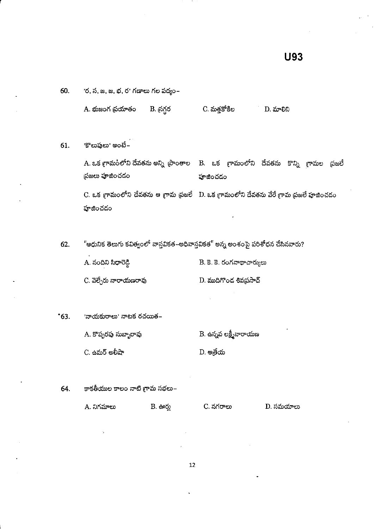|     | A. భుజంగ ప్రయాతం   | B. న్రగ్గర | C. మత్తకోకిల                                                                    | D. మాలిని                                                                                         |
|-----|--------------------|------------|---------------------------------------------------------------------------------|---------------------------------------------------------------------------------------------------|
| 61. | 'కొలుపులు' అంటే–   |            |                                                                                 |                                                                                                   |
|     | ప్రజలు పూజించడం    |            | హాజించదం                                                                        | A. ఒక గ్రామంలోని దేవతను అన్ని (పాంతాల    B.   ఒక   గ్రామంలోని   దేవతను   కొన్ని   గ్రామల   ప్రజలే |
|     | పూజించడం           |            |                                                                                 | C. ఒక గ్రామంలోని దేవతను ఆ గ్రామ ప్రజలే - D. ఒక గ్రామంలోని దేవతను వేరే గ్రామ ప్రజలే పూజించడం       |
| 62. |                    |            | "ఆధునిక తెలుగు కవిత్వంలో వాస్తవికత–అధివాస్తవికత" అన్న అంశంపై పరిశోధన చేసినవారు? |                                                                                                   |
|     | A. నందిని సిధారెడి |            | B. కె. కె. రంగనాథాచార్యులు                                                      |                                                                                                   |

| C. వెల్చేరు నారాయణరావు | D. ముదిగొంద శివప్రసాద్ |
|------------------------|------------------------|
|                        |                        |

 $^{\circ}63.$ 'నాయకురాలు' నాటక రచయిత– A. కొప్పరపు సుబ్బారావు

'ర, స, జ, జ, భ, ర' గణాలు గల పద్యం–

60.

 $C.$  ఉమర్ అలీషా  $D.$  පැමිරා

కాకతీయుల కాలం నాటి గ్రామ సభలు– 64.

| . A. నిగమాలు | B සංහ | C. నగరాలు | D. సమయాలు |
|--------------|-------|-----------|-----------|
|--------------|-------|-----------|-----------|

 $\mathbf B$ . ఉన్నవ లక్ష్మీనారాయణ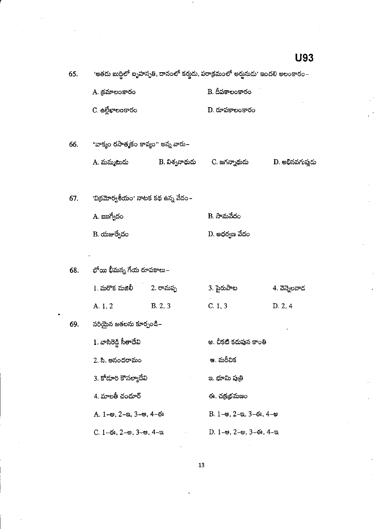| 65. | <sup>,</sup> అతదు బుద్ధిలో ఐృహస్పతి, దానంలో కర్తుడు, పరాక్రమంలో అర్హునుడు <sup>,</sup> ఇందలి అలంకారం– |         |                                                                      |                 |  |
|-----|-------------------------------------------------------------------------------------------------------|---------|----------------------------------------------------------------------|-----------------|--|
|     | A. క్రమాలంకారం                                                                                        |         | B. దీపకాలంకారం                                                       |                 |  |
|     | C. <del>ఉ</del> ల్లేఖాలంకారం                                                                          |         | $D.$ రూపకాలంకారం                                                     |                 |  |
| 66. | "వాక్యం రసాత్మకం కావ్యం" అన్న వారు–                                                                   |         |                                                                      |                 |  |
|     | A. మమ్మటుడు                                                                                           |         | B. విశ్వనాథుడు        C. జగన్నాథుడు                                  | D. అభినవగుప్తదు |  |
| 67. | 'విక్రమోర్వశీయం' నాటక కథ ఉన్న వేదం –                                                                  |         |                                                                      |                 |  |
|     | A. ఋగ్వేదం                                                                                            |         | B. సామవేదం                                                           |                 |  |
|     | B. యజుర్వేదం                                                                                          |         | D. అధర్వణ వేదం                                                       |                 |  |
|     |                                                                                                       |         |                                                                      |                 |  |
| 68. | భోయి భీమన్న గేయ రూపకాలు–                                                                              |         |                                                                      |                 |  |
|     | 1. మరొక మజిలీ         2. రామప్ప                                                                       |         | 3. పైరుపాట                                                           | 4. వెన్నెలవాద   |  |
|     | A. 1, 2                                                                                               | B. 2, 3 | C.1, 3                                                               | D. 2, 4         |  |
| 69. | సరియైన జతలను కూర్చండి–                                                                                |         |                                                                      |                 |  |
|     | 1. వాసిరెడి సీతాదేవి                                                                                  |         | అ. చీకటి కడుపున కాంతి                                                |                 |  |
|     | 2. సి. ఆనందరామం<br>3. కోదూరి కౌసల్యాదేవి<br>4. మాలతీ చందూర్                                           |         | ఆ. మరీచిక                                                            |                 |  |
|     |                                                                                                       |         | ఇ. భూమి పుతి                                                         |                 |  |
|     |                                                                                                       |         | ఈ. చక్రభమణం                                                          |                 |  |
|     | $A. 1 - \omega$ , $2 - \omega$ , $3 - \omega$ , $4 - \omega$                                          |         | B. $1$ - $\omega$ , $2$ - $\omega$ , $3$ - $\omega$ , $4$ - $\omega$ |                 |  |
|     | $C. 1-6$ s. 2-es. 3-es. 4-m.                                                                          |         | — D. 1–ఆ. 2–అ. 3–ఈ. 4–ఇ                                              |                 |  |

13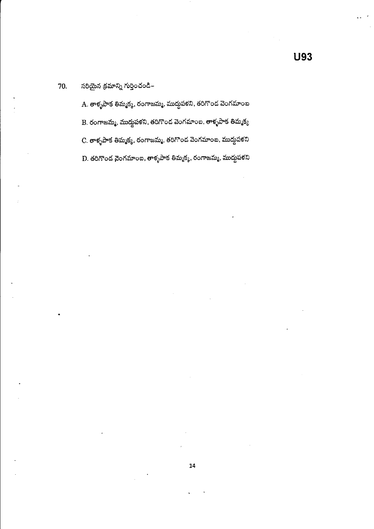#### సరియైన క్రమాన్ని గుర్తించండి– 70.

A. తాళ్ళపాక తిమ్మక్మ, రంగాజమ్మ, ముద్దపళని, తరిగొంద వెంగమాంబ B. రంగాజమ్మ, ముద్దుపళని, తరిగొంద వెంగమాంబ, తాళ్ళపాక తిమ్మక్క C. తాళ్ళపాక తిమ్మక్మ, రంగాజమ్మ, తరిగొంద వెంగమాంఐ, ముద్దపళని  $\, {\bf D}$ . తరిగొంద వైంగమాంబ, తాళ్ళపాక తిమ్మక్మ, రంగాజమ్మ, ముద్దుపళని